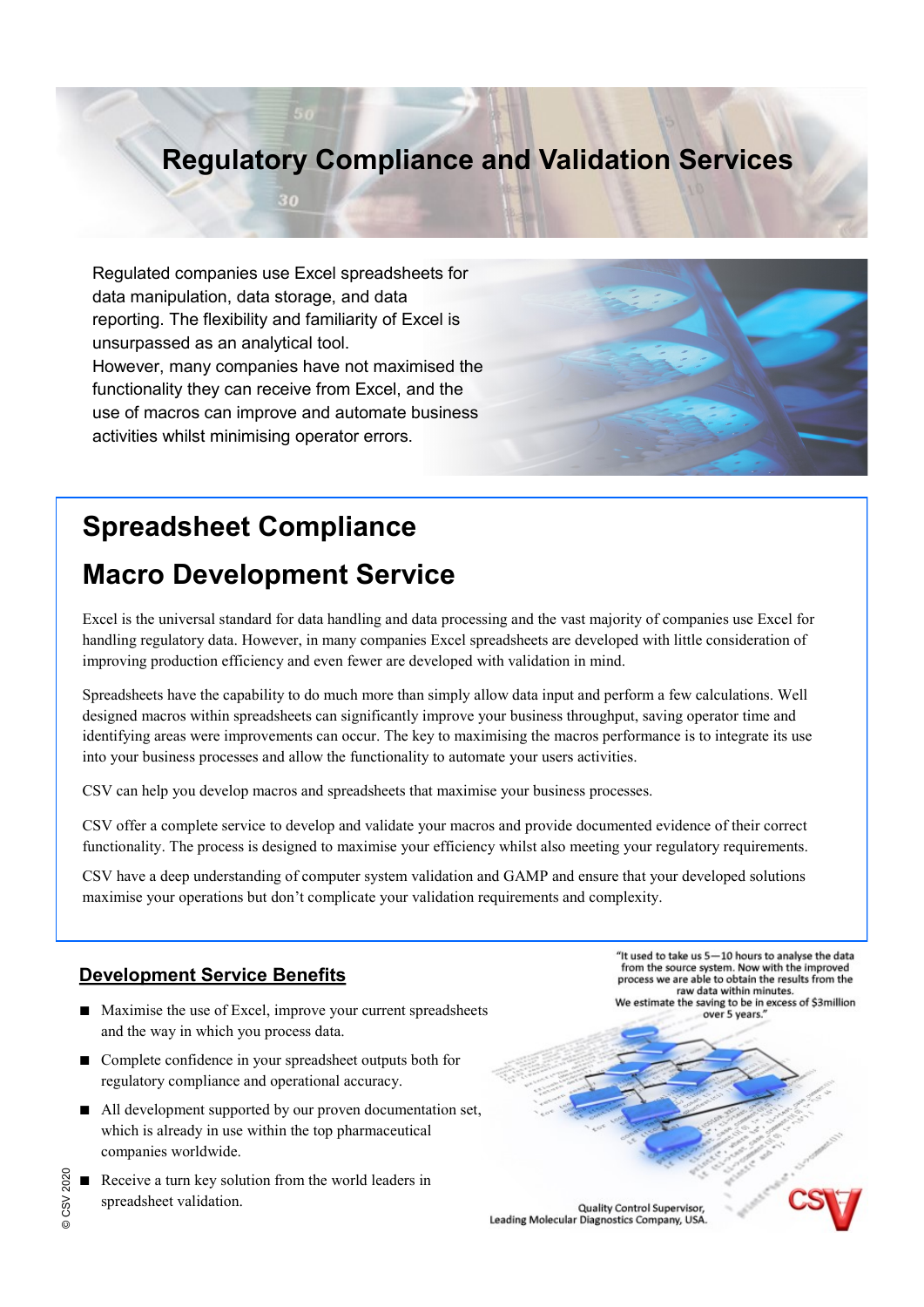# **Regulatory Compliance and Validation Services**

Regulated companies use Excel spreadsheets for data manipulation, data storage, and data reporting. The flexibility and familiarity of Excel is unsurpassed as an analytical tool. However, many companies have not maximised the functionality they can receive from Excel, and the use of macros can improve and automate business activities whilst minimising operator errors.

# **Spreadsheet Compliance**

# **Macro Development Service**

Excel is the universal standard for data handling and data processing and the vast majority of companies use Excel for handling regulatory data. However, in many companies Excel spreadsheets are developed with little consideration of improving production efficiency and even fewer are developed with validation in mind.

Spreadsheets have the capability to do much more than simply allow data input and perform a few calculations. Well designed macros within spreadsheets can significantly improve your business throughput, saving operator time and identifying areas were improvements can occur. The key to maximising the macros performance is to integrate its use into your business processes and allow the functionality to automate your users activities.

CSV can help you develop macros and spreadsheets that maximise your business processes.

CSV offer a complete service to develop and validate your macros and provide documented evidence of their correct functionality. The process is designed to maximise your efficiency whilst also meeting your regulatory requirements.

CSV have a deep understanding of computer system validation and GAMP and ensure that your developed solutions maximise your operations but don't complicate your validation requirements and complexity.

#### **Development Service Benefits**

- Maximise the use of Excel, improve your current spreadsheets and the way in which you process data.
- Complete confidence in your spreadsheet outputs both for regulatory compliance and operational accuracy.
- All development supported by our proven documentation set, which is already in use within the top pharmaceutical companies worldwide.
- Receive a turn key solution from the world leaders in spreadsheet validation.

"It used to take us 5-10 hours to analyse the data from the source system. Now with the improved process we are able to obtain the results from the raw data within minutes.

We estimate the saving to be in excess of \$3million over 5 years.

Quality Control Supervisor, Leading Molecular Diagnostics Company, USA.